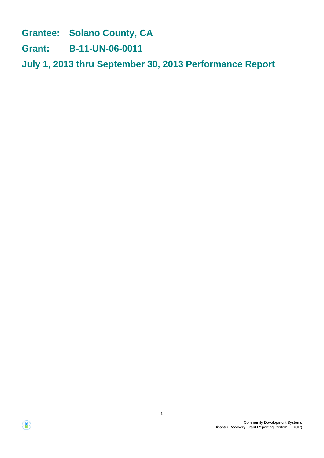**Grantee: Solano County, CA**

**Grant: B-11-UN-06-0011**

**July 1, 2013 thru September 30, 2013 Performance Report**



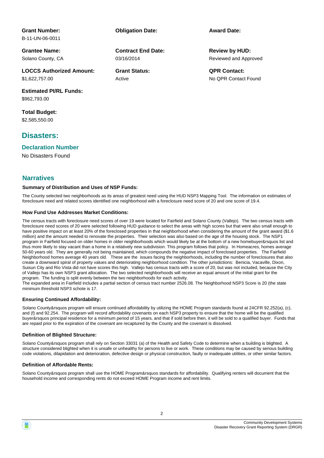# **Grant Number:**

B-11-UN-06-0011

**Grantee Name:** Solano County, CA

**LOCCS Authorized Amount:** \$1,622,757.00

**Estimated PI/RL Funds:** \$962,793.00

**Total Budget:** \$2,585,550.00

## **Disasters:**

#### **Declaration Number**

No Disasters Found

#### **Narratives**

#### **Summary of Distribution and Uses of NSP Funds:**

The County selected two neighborhoods as its areas of greatest need using the HUD NSP3 Mapping Tool. The information on estimates of foreclosure need and related scores identified one neighborhood with a foreclosure need score of 20 and one score of 19.4.

#### **How Fund Use Addresses Market Conditions:**

The census tracts with foreclosure need scores of over 19 were located for Fairfield and Solano County (Vallejo). The two census tracts with foreclosure need scores of 20 were selected following HUD guidance to select the areas with high scores but that were also small enough to have positive impact on at least 20% of the foreclosed properties in that neighborhood when considering the amount of the grant award (\$1.6 million) and the amount needed to renovate the properties. Their selection was also based on the age of the housing stock. The NSP1 program in Fairfield focused on older homes in older neighborhoods which would likely be at the bottom of a new homebuyer&rsquos list and thus more likely to stay vacant than a home in a relatively new subdivision. This program follows that policy. In Homeacres, homes average 50-60 years old. They are generally not being maintained, which compounds the negative impact of foreclosed properties. The Fairfield Neighborhood homes average 40 years old. These are the issues facing the neighborhoods, including the number of foreclosures that also create a downward spiral of property values and deteriorating neighborhood condition. The other jurisdictions: Benicia, Vacaville, Dixon, Suisun City and Rio Vista did not have scores this high. Vallejo has census tracts with a score of 20, but was not included, because the City of Vallejo has its own NSP3 grant allocation. The two selected neighborhoods will receive an equal amount of the initial grant for the program. The funding is split evenly between the two neighborhoods for each activity.

The expanded area in Fairfield includes a partial section of census tract number 2526.08. The Neighborhood NSP3 Score is 20 (the state minimum threshold NSP3 schote is 17.

#### **Ensuring Continued Affordability:**

Solano County&rsquos program will ensure continued affordability by utilizing the HOME Program standards found at 24CFR 92.252(a), (c), and (f) and 92.254. The program will record affordability covenants on each NSP3 property to ensure that the home will be the qualified buyer&rsquos principal residence for a minimum period of 15 years, and that if sold before then, it will be sold to a qualified buyer. Funds that are repaid prior to the expiration of the covenant are recaptured by the County and the covenant is dissolved.

#### **Definition of Blighted Structure:**

Solano County&rsquos program shall rely on Section 33031 (a) of the Health and Safety Code to determine when a building is blighted. A structure considered blighted when it is unsafe or unhealthy for persons to live or work. These conditions may be caused by serious building code violations, dilapidation and deterioration, defective design or physical construction, faulty or inadequate utilities, or other similar factors.

#### **Definition of Affordable Rents:**

Solano County&rsquos program shall use the HOME Program&rsquos standards for affordability. Qualifying renters will document that the household income and corresponding rents do not exceed HOME Program income and rent limits.

03/16/2014 **Contract End Date:**

Active

**Obligation Date: Award Date:**

Reviewed and Approved **Review by HUD:**

**Grant Status: QPR Contact:** No QPR Contact Found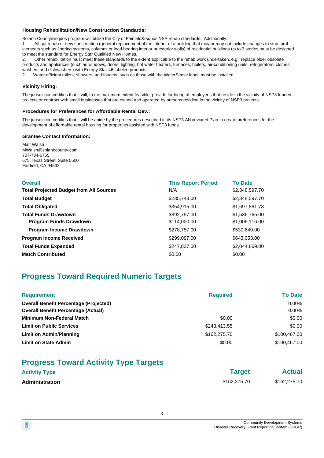#### **Housing Rehabilitation/New Construction Standards:**

Solano County&rsquos program will utilize the City of Fairfield&rsquos NSP rehab standards. Additionally:

1. All gut rehab or new construction (general replacement of the interior of a building that may or may not include changes to structural elements such as flooring systems, columns or load bearing interior or exterior walls) of residential buildings up to 3 stories must be designed to meet the standard for Energy Star Qualified New Homes.

2. Other rehabilitation must meet these standards to the extent applicable to the rehab work undertaken, e.g., replace older obsolete products and appliances (such as windows, doors, lighting, hot water heaters, furnaces, boilers, air-conditioning units, refrigerators, clothes washers and dishwashers) with Energy Star-46 labeled products.

2. Water efficient toilets, showers, and faucets, such as those with the WaterSense label, must be installed.

#### **Vicinity Hiring:**

The jurisdiction certifies that it will, to the maximum extent feasible, provide for hiring of employees that reside in the vicinity of NSP3 funded projects or contract with small businesses that are owned and operated by persons residing in the vicinity of NSP3 projects.

#### **Procedures for Preferences for Affordable Rental Dev.:**

The jurisdiction certifies that it will be abide by the procedures described in its NSP3 Abbreviated Plan to create preferences for the development of affordable rental housing for properties assisted with NSP3 funds.

#### **Grantee Contact Information:**

Matt Walsh MWalsh@solanocounty.com 707-784-6765 675 Texas Street, Suite 5500 Fairfield, CA 94533

| <b>Overall</b>                                 | <b>This Report Period</b> | <b>To Date</b> |
|------------------------------------------------|---------------------------|----------------|
| <b>Total Projected Budget from All Sources</b> | N/A                       | \$2,348,597.70 |
| <b>Total Budget</b>                            | \$235,743.00              | \$2,348,597.70 |
| <b>Total Obligated</b>                         | \$354,915.00              | \$1,697,861.78 |
| <b>Total Funds Drawdown</b>                    | \$392,757.00              | \$1,536,765.00 |
| <b>Program Funds Drawdown</b>                  | \$114,000.00              | \$1,006,116.00 |
| <b>Program Income Drawdown</b>                 | \$278,757.00              | \$530,649.00   |
| <b>Program Income Received</b>                 | \$299,097.00              | \$643,053.00   |
| <b>Total Funds Expended</b>                    | \$247,837.00              | \$2,044,869.00 |
| <b>Match Contributed</b>                       | \$0.00                    | \$0.00         |

# **Progress Toward Required Numeric Targets**

| <b>Requirement</b>                            | <b>Required</b> | <b>To Date</b> |
|-----------------------------------------------|-----------------|----------------|
| <b>Overall Benefit Percentage (Projected)</b> |                 | 0.00%          |
| <b>Overall Benefit Percentage (Actual)</b>    |                 | 0.00%          |
| <b>Minimum Non-Federal Match</b>              | \$0.00          | \$0.00         |
| <b>Limit on Public Services</b>               | \$243,413.55    | \$0.00         |
| Limit on Admin/Planning                       | \$162,275,70    | \$100,467,00   |
| <b>Limit on State Admin</b>                   | \$0.00          | \$100.467.00   |

# **Progress Toward Activity Type Targets**

| <b>Activity Type</b>  | <b>Target</b> | <b>Actual</b> |
|-----------------------|---------------|---------------|
| <b>Administration</b> | \$162,275,70  | \$162,275.70  |

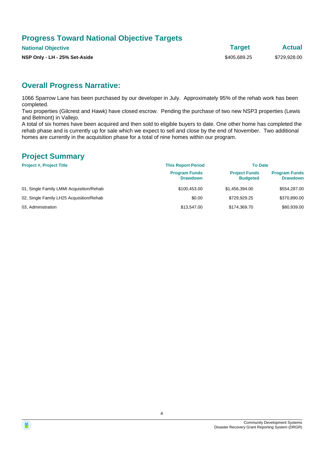# **Progress Toward National Objective Targets**

**National Objective Target Actual**

**NSP Only - LH - 25% Set-Aside**  $$405,689.25$   $$729,928.00$ 

# **Overall Progress Narrative:**

1066 Sparrow Lane has been purchased by our developer in July. Approximately 95% of the rehab work has been completed.

Two properties (Gilcrest and Hawk) have closed escrow. Pending the purchase of two new NSP3 properties (Lewis and Belmont) in Vallejo.

A total of six homes have been acquired and then sold to eligible buyers to date. One other home has completed the rehab phase and is currently up for sale which we expect to sell and close by the end of November. Two additional homes are currently in the acquisition phase for a total of nine homes within our program.

## **Project Summary**

| <b>Project #, Project Title</b>          | <b>This Report Period</b>               | <b>To Date</b>                          |                                         |
|------------------------------------------|-----------------------------------------|-----------------------------------------|-----------------------------------------|
|                                          | <b>Program Funds</b><br><b>Drawdown</b> | <b>Project Funds</b><br><b>Budgeted</b> | <b>Program Funds</b><br><b>Drawdown</b> |
| 01, Single Family LMMI Acquisition/Rehab | \$100.453.00                            | \$1.456.394.00                          | \$554,287.00                            |
| 02, Single Family LH25 Acquisition/Rehab | \$0.00                                  | \$729.929.25                            | \$370,890.00                            |
| 03. Administration                       | \$13,547.00                             | \$174.369.70                            | \$80,939,00                             |

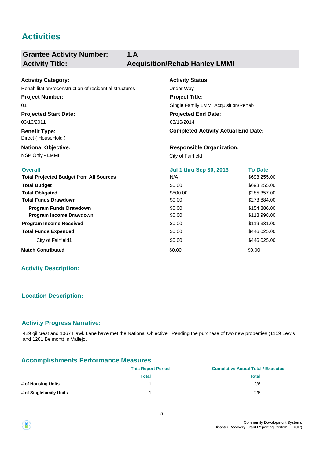# **Activities**

#### **Grantee Activity Number: 1.A Activity Title: Acquisition/Rehab Hanley LMMI**

#### **Projected Start Date: Benefit Type:** NSP Only - LMMI City of Fairfield **National Objective: Activity Status: Projected End Date: Completed Activity Actual End Date: Activitiy Category:** 03/16/2014 03/16/2011 Direct ( HouseHold ) **Responsible Organization:** Rehabilitation/reconstruction of residential structures Under Way **Project Number:** 01 **Project Title:** Single Family LMMI Acquisition/Rehab

| <b>Overall</b>                                 | <b>Jul 1 thru Sep 30, 2013</b> | <b>To Date</b> |
|------------------------------------------------|--------------------------------|----------------|
| <b>Total Projected Budget from All Sources</b> | N/A                            | \$693,255.00   |
| <b>Total Budget</b>                            | \$0.00                         | \$693,255.00   |
| <b>Total Obligated</b>                         | \$500.00                       | \$285,357.00   |
| <b>Total Funds Drawdown</b>                    | \$0.00                         | \$273,884.00   |
| <b>Program Funds Drawdown</b>                  | \$0.00                         | \$154,886.00   |
| Program Income Drawdown                        | \$0.00                         | \$118,998.00   |
| <b>Program Income Received</b>                 | \$0.00                         | \$119,331.00   |
| <b>Total Funds Expended</b>                    | \$0.00                         | \$446,025.00   |
| City of Fairfield1                             | \$0.00                         | \$446,025.00   |
| <b>Match Contributed</b>                       | \$0.00                         | \$0.00         |

## **Activity Description:**

## **Location Description:**

#### **Activity Progress Narrative:**

429 gillcrest and 1067 Hawk Lane have met the National Objective. Pending the purchase of two new properties (1159 Lewis and 1201 Belmont) in Vallejo.

## **Accomplishments Performance Measures**

|                         | <b>This Report Period</b> | <b>Cumulative Actual Total / Expected</b> |
|-------------------------|---------------------------|-------------------------------------------|
|                         | Total                     | <b>Total</b>                              |
| # of Housing Units      |                           | 2/6                                       |
| # of Singlefamily Units |                           | 2/6                                       |

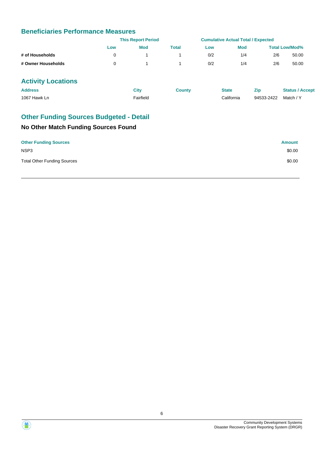# **Beneficiaries Performance Measures**

|                    |     | <b>This Report Period</b> |       |     | <b>Cumulative Actual Total / Expected</b> |     |                       |
|--------------------|-----|---------------------------|-------|-----|-------------------------------------------|-----|-----------------------|
|                    | Low | Mod                       | Total | Low | <b>Mod</b>                                |     | <b>Total Low/Mod%</b> |
| # of Households    |     |                           |       | 0/2 | 1/4                                       | 2/6 | 50.00                 |
| # Owner Households |     |                           |       | 0/2 | 1/4                                       | 2/6 | 50.00                 |

# **Activity Locations**

| <b>Address</b> | City                  | Countv | <b>State</b> | Zin                  | <b>Status / Accept</b> |
|----------------|-----------------------|--------|--------------|----------------------|------------------------|
| 1067 Hawk Ln   | <sup>⊏</sup> airfield |        | California   | 94533-2422 Match / Y |                        |

# **Other Funding Sources Budgeted - Detail**

| <b>Other Funding Sources</b>       | <b>Amount</b> |
|------------------------------------|---------------|
| NSP <sub>3</sub>                   | \$0.00        |
| <b>Total Other Funding Sources</b> | \$0.00        |

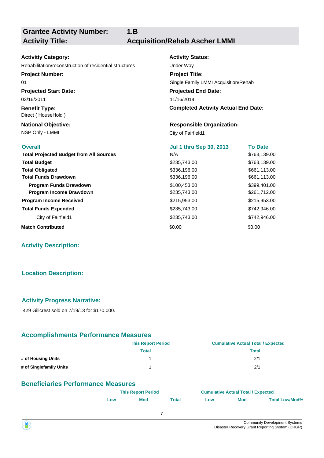**Grantee Activity Number:**

**1.B**

**Activity Title: Acquisition/Rehab Ascher LMMI**

# **Activitiy Category:** Rehabilitation/reconstruction of residential structures Under Way **Project Number:**

**Projected Start Date:** 03/16/2011 01

**Benefit Type:** Direct ( HouseHold )

NSP Only - LMMI City of Fairfield1 **National Objective:**

**Activity Status: Projected End Date: Project Title:** Single Family LMMI Acquisition/Rehab

11/16/2014

**Completed Activity Actual End Date:**

#### **Responsible Organization:**

| <b>Overall</b>                                 | <b>Jul 1 thru Sep 30, 2013</b> | <b>To Date</b> |
|------------------------------------------------|--------------------------------|----------------|
| <b>Total Projected Budget from All Sources</b> | N/A                            | \$763,139.00   |
| <b>Total Budget</b>                            | \$235,743.00                   | \$763,139.00   |
| <b>Total Obligated</b>                         | \$336,196.00                   | \$661,113.00   |
| <b>Total Funds Drawdown</b>                    | \$336,196.00                   | \$661,113.00   |
| <b>Program Funds Drawdown</b>                  | \$100,453.00                   | \$399,401.00   |
| Program Income Drawdown                        | \$235,743.00                   | \$261,712.00   |
| <b>Program Income Received</b>                 | \$215,953.00                   | \$215,953.00   |
| <b>Total Funds Expended</b>                    | \$235,743.00                   | \$742,946.00   |
| City of Fairfield1                             | \$235,743.00                   | \$742,946.00   |
| <b>Match Contributed</b>                       | \$0.00                         | \$0.00         |

#### **Activity Description:**

## **Location Description:**

#### **Activity Progress Narrative:**

429 Gillcrest sold on 7/19/13 for \$170,000.

#### **Accomplishments Performance Measures**

|                         | <b>This Report Period</b> | <b>Cumulative Actual Total / Expected</b> |
|-------------------------|---------------------------|-------------------------------------------|
|                         | Total                     | Total                                     |
| # of Housing Units      |                           | 2/1                                       |
| # of Singlefamily Units |                           | 2/1                                       |

## **Beneficiaries Performance Measures**

|     | <b>This Report Period</b> |       |     | <b>Cumulative Actual Total / Expected</b> |                       |  |
|-----|---------------------------|-------|-----|-------------------------------------------|-----------------------|--|
| LOW | <b>Mod</b>                | Total | LOW | <b>Mod</b>                                | <b>Total Low/Mod%</b> |  |
|     |                           |       |     |                                           |                       |  |

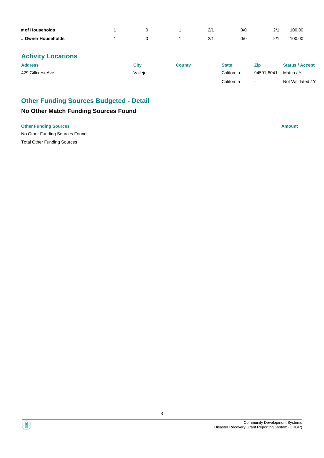| # of Households    |  | 2/1 | 0/0 | 21 | 100.00 |
|--------------------|--|-----|-----|----|--------|
| # Owner Households |  | 2/1 | 0/0 | 21 | 100.00 |

| <b>Address</b>    | City    | Countv | <b>State</b> | Zip        | <b>Status / Accept</b> |
|-------------------|---------|--------|--------------|------------|------------------------|
| 429 Gillcrest Ave | √alleio |        | California   | 94591-8041 | Match / Y              |
|                   |         |        | California   | $\sim$     | Not Validated / Y      |

# **Other Funding Sources Budgeted - Detail**

# **No Other Match Funding Sources Found**

#### **Other Funding Sources Amount**

No Other Funding Sources Found Total Other Funding Sources

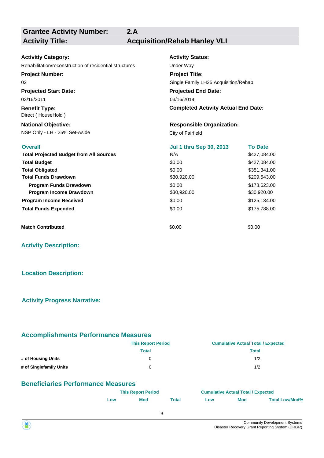**Grantee Activity Number: Activity Title: Acquisition/Rehab Hanley VLI**

**2.A**

## **Projected Start Date: Activitiy Category:** 03/16/2011 Rehabilitation/reconstruction of residential structures Under Way **Project Number:** 02

**Benefit Type:** Direct ( HouseHold )

NSP Only - LH - 25% Set-Aside City of Fairfield **National Objective:**

**Activity Status: Projected End Date: Completed Activity Actual End Date:** 03/16/2014 **Project Title:** Single Family LH25 Acquisition/Rehab

#### **Responsible Organization:**

| <b>Overall</b>                                 | <b>Jul 1 thru Sep 30, 2013</b> | <b>To Date</b> |
|------------------------------------------------|--------------------------------|----------------|
| <b>Total Projected Budget from All Sources</b> | N/A                            | \$427,084.00   |
| <b>Total Budget</b>                            | \$0.00                         | \$427,084.00   |
| <b>Total Obligated</b>                         | \$0.00                         | \$351,341.00   |
| <b>Total Funds Drawdown</b>                    | \$30,920.00                    | \$209,543.00   |
| <b>Program Funds Drawdown</b>                  | \$0.00                         | \$178,623.00   |
| <b>Program Income Drawdown</b>                 | \$30,920.00                    | \$30,920.00    |
| <b>Program Income Received</b>                 | \$0.00                         | \$125,134.00   |
| <b>Total Funds Expended</b>                    | \$0.00                         | \$175,788,00   |
| <b>Match Contributed</b>                       | \$0.00                         | \$0.00         |

**Activity Description:**

## **Location Description:**

#### **Activity Progress Narrative:**

#### **Accomplishments Performance Measures**

|                         | <b>This Report Period</b> | <b>Cumulative Actual Total / Expected</b> |
|-------------------------|---------------------------|-------------------------------------------|
|                         | Total                     | Total                                     |
| # of Housing Units      |                           | 1/2                                       |
| # of Singlefamily Units |                           | 1/2                                       |

## **Beneficiaries Performance Measures**

|     | <b>This Report Period</b> |       |     | <b>Cumulative Actual Total / Expected</b> |                       |  |
|-----|---------------------------|-------|-----|-------------------------------------------|-----------------------|--|
| LOW | <b>Mod</b>                | Total | Low | <b>Mod</b>                                | <b>Total Low/Mod%</b> |  |
|     |                           |       |     |                                           |                       |  |

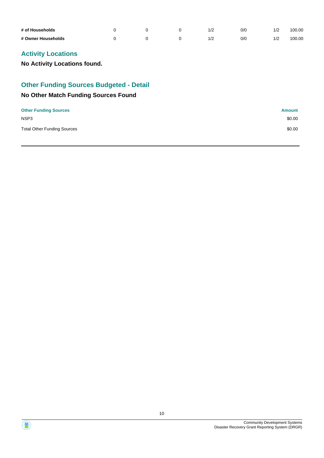| # of Households    |  |  | O/C | 1/2 | 100.00 |
|--------------------|--|--|-----|-----|--------|
| # Owner Households |  |  | 0/0 | 1/2 | 100.00 |

**No Activity Locations found.**

## **Other Funding Sources Budgeted - Detail**

| <b>Other Funding Sources</b>       | Amount |
|------------------------------------|--------|
| NSP <sub>3</sub>                   | \$0.00 |
| <b>Total Other Funding Sources</b> | \$0.00 |



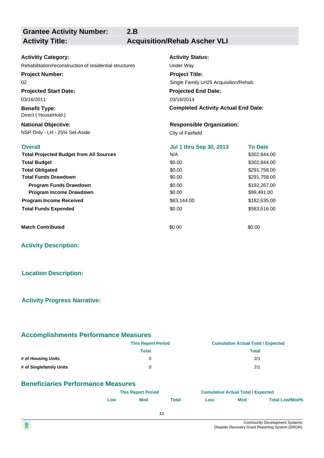**Grantee Activity Number:**

**Activity Title: Acquisition/Rehab Ascher VLI**

| <b>Activitiy Category:</b>                              | <b>Activity Status:</b>                    |                |  |  |  |  |  |
|---------------------------------------------------------|--------------------------------------------|----------------|--|--|--|--|--|
| Rehabilitation/reconstruction of residential structures | Under Way                                  |                |  |  |  |  |  |
| <b>Project Number:</b>                                  | <b>Project Title:</b>                      |                |  |  |  |  |  |
| 02                                                      | Single Family LH25 Acquisition/Rehab       |                |  |  |  |  |  |
| <b>Projected Start Date:</b>                            | <b>Projected End Date:</b>                 |                |  |  |  |  |  |
| 03/16/2011                                              | 03/16/2014                                 |                |  |  |  |  |  |
| <b>Benefit Type:</b><br>Direct (HouseHold)              | <b>Completed Activity Actual End Date:</b> |                |  |  |  |  |  |
| <b>National Objective:</b>                              | <b>Responsible Organization:</b>           |                |  |  |  |  |  |
| NSP Only - LH - 25% Set-Aside                           | City of Fairfield                          |                |  |  |  |  |  |
| <b>Overall</b>                                          | <b>Jul 1 thru Sep 30, 2013</b>             | <b>To Date</b> |  |  |  |  |  |
| <b>Total Projected Budget from All Sources</b>          | N/A                                        | \$302,844.00   |  |  |  |  |  |
| <b>Total Budget</b>                                     | \$0.00                                     | \$302,844.00   |  |  |  |  |  |
| <b>Total Obligated</b>                                  | \$0.00                                     | \$291,758.00   |  |  |  |  |  |
| <b>Total Funds Drawdown</b>                             | \$0.00                                     | \$291,758.00   |  |  |  |  |  |
| <b>Program Funds Drawdown</b>                           | \$0.00                                     | \$192,267.00   |  |  |  |  |  |
| Program Income Drawdown                                 | \$0.00                                     | \$99,491.00    |  |  |  |  |  |
| <b>Program Income Received</b>                          | \$83,144.00                                | \$182,635.00   |  |  |  |  |  |
| <b>Total Funds Expended</b>                             | \$0.00                                     | \$583,516.00   |  |  |  |  |  |
| <b>Match Contributed</b>                                | \$0.00                                     | \$0.00         |  |  |  |  |  |

**2.B**

**Activity Description:**

## **Location Description:**

#### **Activity Progress Narrative:**

#### **Accomplishments Performance Measures**

|                         | <b>This Report Period</b> | <b>Cumulative Actual Total / Expected</b> |
|-------------------------|---------------------------|-------------------------------------------|
|                         | <b>Total</b>              | <b>Total</b>                              |
| # of Housing Units      | 0                         | 2/1                                       |
| # of Singlefamily Units | 0                         | 2/1                                       |

## **Beneficiaries Performance Measures**

|     | <b>This Report Period</b> |       |     | <b>Cumulative Actual Total / Expected</b> |                       |  |
|-----|---------------------------|-------|-----|-------------------------------------------|-----------------------|--|
| ∟ow | <b>Mod</b>                | Total | Low | <b>Mod</b>                                | <b>Total Low/Mod%</b> |  |
|     |                           |       |     |                                           |                       |  |

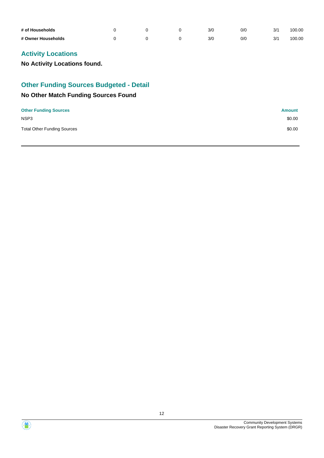| # of Households    |  | 3/C | O/C | 3/1 | 100.00 |
|--------------------|--|-----|-----|-----|--------|
| # Owner Households |  | 3/C | O/C | 3/1 | 100.00 |

**No Activity Locations found.**

## **Other Funding Sources Budgeted - Detail**

| <b>Other Funding Sources</b>       | Amount |
|------------------------------------|--------|
| NSP <sub>3</sub>                   | \$0.00 |
| <b>Total Other Funding Sources</b> | \$0.00 |



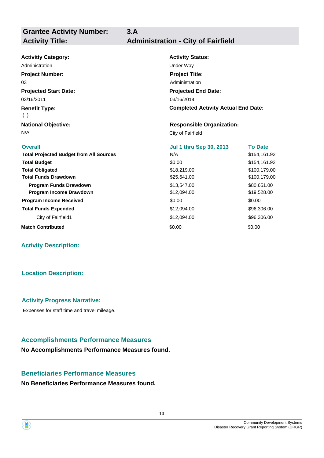| <b>Activitiy Category:</b>                     | <b>Activity Status:</b>                    |                |
|------------------------------------------------|--------------------------------------------|----------------|
| Administration                                 | Under Way                                  |                |
| <b>Project Number:</b>                         | <b>Project Title:</b>                      |                |
| 03                                             | Administration                             |                |
| <b>Projected Start Date:</b>                   | <b>Projected End Date:</b>                 |                |
| 03/16/2011                                     | 03/16/2014                                 |                |
| <b>Benefit Type:</b><br>( )                    | <b>Completed Activity Actual End Date:</b> |                |
| <b>National Objective:</b>                     | <b>Responsible Organization:</b>           |                |
| N/A                                            | City of Fairfield                          |                |
| <b>Overall</b>                                 | <b>Jul 1 thru Sep 30, 2013</b>             | <b>To Date</b> |
| <b>Total Projected Budget from All Sources</b> | N/A                                        | \$154,161.92   |
| <b>Total Budget</b>                            | \$0.00                                     | \$154,161.92   |
| <b>Total Obligated</b>                         | \$18,219.00                                | \$100,179.00   |
| <b>Total Funds Drawdown</b>                    | \$25,641.00                                | \$100,179.00   |
| <b>Program Funds Drawdown</b>                  | \$13,547.00                                | \$80,651.00    |
| Program Income Drawdown                        | \$12,094.00                                | \$19,528.00    |
| <b>Program Income Received</b>                 | \$0.00                                     | \$0.00         |
|                                                |                                            |                |
| <b>Total Funds Expended</b>                    | \$12,094.00                                | \$96,306.00    |
| City of Fairfield1                             | \$12,094.00                                | \$96,306.00    |

**3.A**

#### **Activity Description:**

## **Location Description:**

## **Activity Progress Narrative:**

Expenses for staff time and travel mileage.

## **Accomplishments Performance Measures**

**No Accomplishments Performance Measures found.**

## **Beneficiaries Performance Measures**

**No Beneficiaries Performance Measures found.**